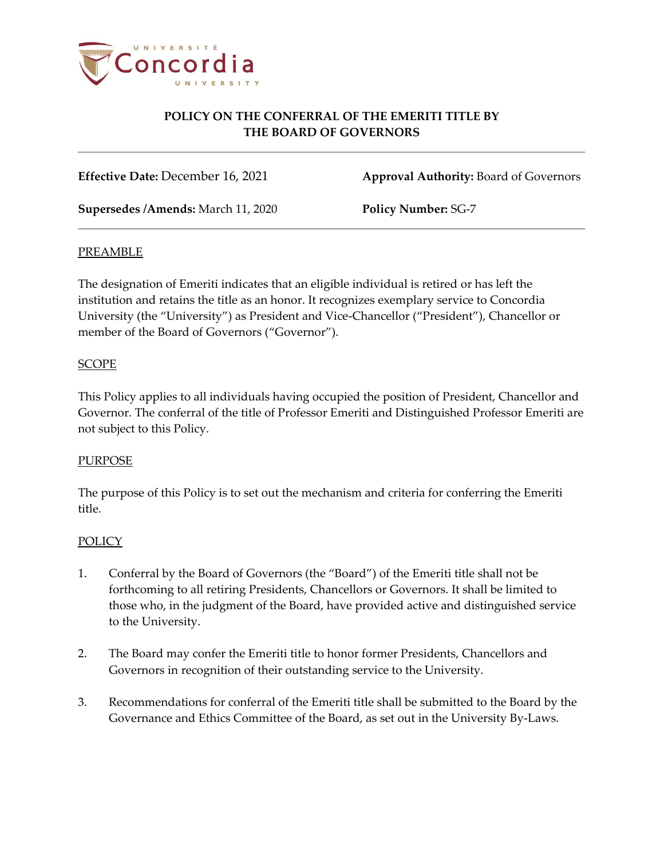

# **POLICY ON THE CONFERRAL OF THE EMERITI TITLE BY THE BOARD OF GOVERNORS**

**Effective Date:** December 16, 2021 **Approval Authority:** Board of Governors

**Supersedes /Amends:** March 11, 2020 **Policy Number:** SG-7

#### PREAMBLE

The designation of Emeriti indicates that an eligible individual is retired or has left the institution and retains the title as an honor. It recognizes exemplary service to Concordia University (the "University") as President and Vice-Chancellor ("President"), Chancellor or member of the Board of Governors ("Governor").

### **SCOPE**

This Policy applies to all individuals having occupied the position of President, Chancellor and Governor. The conferral of the title of Professor Emeriti and Distinguished Professor Emeriti are not subject to this Policy.

### **PURPOSE**

The purpose of this Policy is to set out the mechanism and criteria for conferring the Emeriti title.

### **POLICY**

- 1. Conferral by the Board of Governors (the "Board") of the Emeriti title shall not be forthcoming to all retiring Presidents, Chancellors or Governors. It shall be limited to those who, in the judgment of the Board, have provided active and distinguished service to the University.
- 2. The Board may confer the Emeriti title to honor former Presidents, Chancellors and Governors in recognition of their outstanding service to the University.
- 3. Recommendations for conferral of the Emeriti title shall be submitted to the Board by the Governance and Ethics Committee of the Board, as set out in the University By-Laws.